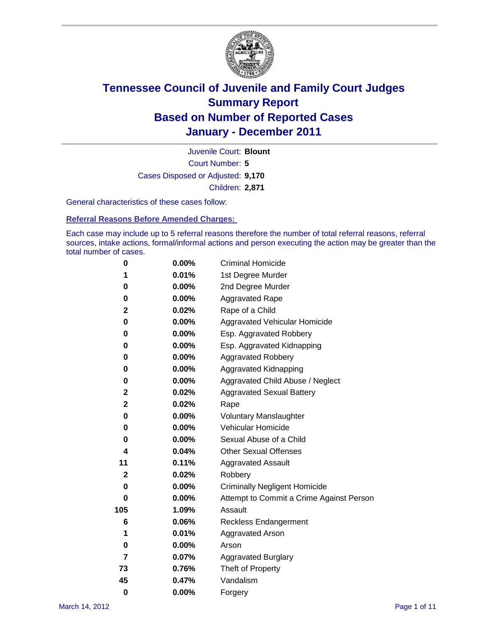

Court Number: **5** Juvenile Court: **Blount** Cases Disposed or Adjusted: **9,170** Children: **2,871**

General characteristics of these cases follow:

**Referral Reasons Before Amended Charges:** 

Each case may include up to 5 referral reasons therefore the number of total referral reasons, referral sources, intake actions, formal/informal actions and person executing the action may be greater than the total number of cases.

| 0                       | $0.00\%$ | <b>Criminal Homicide</b>                 |
|-------------------------|----------|------------------------------------------|
| 1                       | 0.01%    | 1st Degree Murder                        |
| 0                       | $0.00\%$ | 2nd Degree Murder                        |
| 0                       | $0.00\%$ | <b>Aggravated Rape</b>                   |
| 2                       | 0.02%    | Rape of a Child                          |
| 0                       | 0.00%    | Aggravated Vehicular Homicide            |
| 0                       | 0.00%    | Esp. Aggravated Robbery                  |
| 0                       | $0.00\%$ | Esp. Aggravated Kidnapping               |
| 0                       | $0.00\%$ | <b>Aggravated Robbery</b>                |
| 0                       | $0.00\%$ | Aggravated Kidnapping                    |
| 0                       | 0.00%    | Aggravated Child Abuse / Neglect         |
| 2                       | 0.02%    | <b>Aggravated Sexual Battery</b>         |
| $\mathbf 2$             | 0.02%    | Rape                                     |
| 0                       | $0.00\%$ | <b>Voluntary Manslaughter</b>            |
| 0                       | 0.00%    | Vehicular Homicide                       |
| 0                       | 0.00%    | Sexual Abuse of a Child                  |
| $\overline{\mathbf{4}}$ | 0.04%    | <b>Other Sexual Offenses</b>             |
| 11                      | 0.11%    | <b>Aggravated Assault</b>                |
| 2                       | 0.02%    | Robbery                                  |
| 0                       | 0.00%    | <b>Criminally Negligent Homicide</b>     |
| 0                       | $0.00\%$ | Attempt to Commit a Crime Against Person |
| 105                     | 1.09%    | Assault                                  |
| 6                       | 0.06%    | <b>Reckless Endangerment</b>             |
| 1                       | 0.01%    | <b>Aggravated Arson</b>                  |
| 0                       | 0.00%    | Arson                                    |
| $\overline{7}$          | 0.07%    | <b>Aggravated Burglary</b>               |
| 73                      | 0.76%    | Theft of Property                        |
| 45                      | 0.47%    | Vandalism                                |
| $\bf{0}$                | 0.00%    | Forgery                                  |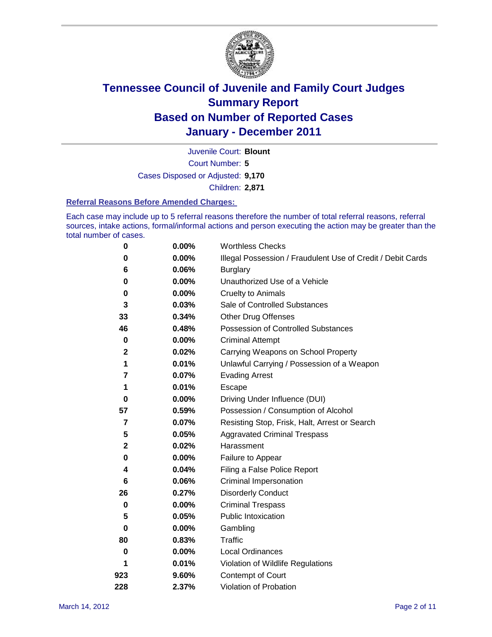

Court Number: **5** Juvenile Court: **Blount** Cases Disposed or Adjusted: **9,170** Children: **2,871**

#### **Referral Reasons Before Amended Charges:**

Each case may include up to 5 referral reasons therefore the number of total referral reasons, referral sources, intake actions, formal/informal actions and person executing the action may be greater than the total number of cases.

| $\pmb{0}$   | 0.00%    | <b>Worthless Checks</b>                                     |  |  |
|-------------|----------|-------------------------------------------------------------|--|--|
| 0           | 0.00%    | Illegal Possession / Fraudulent Use of Credit / Debit Cards |  |  |
| 6           | 0.06%    | <b>Burglary</b>                                             |  |  |
| $\bf{0}$    | $0.00\%$ | Unauthorized Use of a Vehicle                               |  |  |
| 0           | $0.00\%$ | <b>Cruelty to Animals</b>                                   |  |  |
| 3           | 0.03%    | Sale of Controlled Substances                               |  |  |
| 33          | 0.34%    | <b>Other Drug Offenses</b>                                  |  |  |
| 46          | 0.48%    | Possession of Controlled Substances                         |  |  |
| $\pmb{0}$   | $0.00\%$ | <b>Criminal Attempt</b>                                     |  |  |
| $\mathbf 2$ | 0.02%    | Carrying Weapons on School Property                         |  |  |
| 1           | 0.01%    | Unlawful Carrying / Possession of a Weapon                  |  |  |
| 7           | 0.07%    | <b>Evading Arrest</b>                                       |  |  |
| 1           | 0.01%    | Escape                                                      |  |  |
| 0           | 0.00%    | Driving Under Influence (DUI)                               |  |  |
| 57          | 0.59%    | Possession / Consumption of Alcohol                         |  |  |
| 7           | 0.07%    | Resisting Stop, Frisk, Halt, Arrest or Search               |  |  |
| 5           | 0.05%    | <b>Aggravated Criminal Trespass</b>                         |  |  |
| $\mathbf 2$ | 0.02%    | Harassment                                                  |  |  |
| 0           | 0.00%    | Failure to Appear                                           |  |  |
| 4           | 0.04%    | Filing a False Police Report                                |  |  |
| 6           | 0.06%    | Criminal Impersonation                                      |  |  |
| 26          | 0.27%    | <b>Disorderly Conduct</b>                                   |  |  |
| 0           | $0.00\%$ | <b>Criminal Trespass</b>                                    |  |  |
| 5           | 0.05%    | Public Intoxication                                         |  |  |
| 0           | $0.00\%$ | Gambling                                                    |  |  |
| 80          | 0.83%    | <b>Traffic</b>                                              |  |  |
| 0           | $0.00\%$ | Local Ordinances                                            |  |  |
| 1           | 0.01%    | Violation of Wildlife Regulations                           |  |  |
| 923         | 9.60%    | Contempt of Court                                           |  |  |
| 228         | 2.37%    | Violation of Probation                                      |  |  |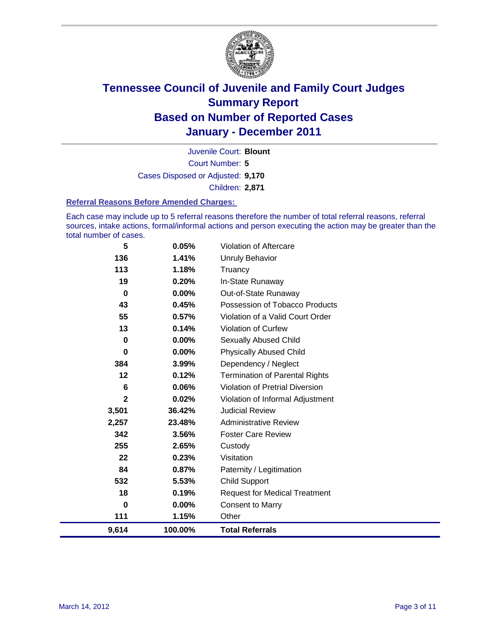

Court Number: **5** Juvenile Court: **Blount** Cases Disposed or Adjusted: **9,170** Children: **2,871**

#### **Referral Reasons Before Amended Charges:**

Each case may include up to 5 referral reasons therefore the number of total referral reasons, referral sources, intake actions, formal/informal actions and person executing the action may be greater than the total number of cases.

| 5               | 0.05%    | Violation of Aftercare                 |
|-----------------|----------|----------------------------------------|
| 136             | 1.41%    | <b>Unruly Behavior</b>                 |
| 113             | 1.18%    | Truancy                                |
| 19              | 0.20%    | In-State Runaway                       |
| $\bf{0}$        | $0.00\%$ | Out-of-State Runaway                   |
| 43              | 0.45%    | Possession of Tobacco Products         |
| 55              | 0.57%    | Violation of a Valid Court Order       |
| 13              | 0.14%    | <b>Violation of Curfew</b>             |
| $\bf{0}$        | 0.00%    | Sexually Abused Child                  |
| $\bf{0}$        | 0.00%    | <b>Physically Abused Child</b>         |
| 384             | 3.99%    | Dependency / Neglect                   |
| 12              | 0.12%    | <b>Termination of Parental Rights</b>  |
| $6\phantom{1}6$ | 0.06%    | <b>Violation of Pretrial Diversion</b> |
| $\mathbf{2}$    | 0.02%    | Violation of Informal Adjustment       |
| 3,501           | 36.42%   | <b>Judicial Review</b>                 |
| 2,257           | 23.48%   | <b>Administrative Review</b>           |
| 342             | 3.56%    | <b>Foster Care Review</b>              |
| 255             | 2.65%    | Custody                                |
| 22              | 0.23%    | Visitation                             |
| 84              | 0.87%    | Paternity / Legitimation               |
| 532             | 5.53%    | <b>Child Support</b>                   |
| 18              | 0.19%    | <b>Request for Medical Treatment</b>   |
| 0               | $0.00\%$ | <b>Consent to Marry</b>                |
| 111             | 1.15%    | Other                                  |
| 9,614           | 100.00%  | <b>Total Referrals</b>                 |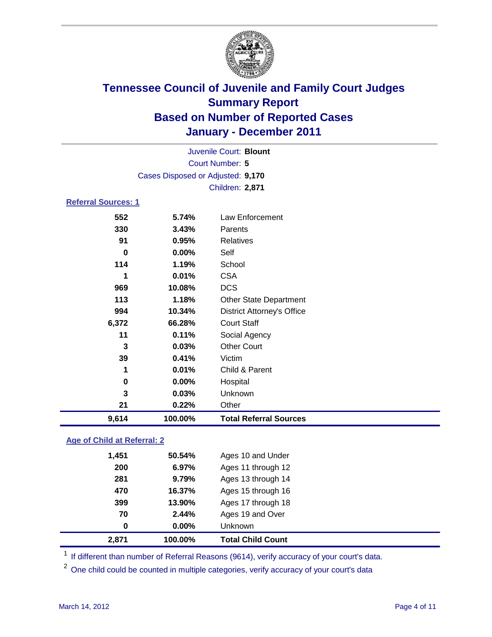

| Juvenile Court: Blount      |                                   |                                   |  |  |  |
|-----------------------------|-----------------------------------|-----------------------------------|--|--|--|
| Court Number: 5             |                                   |                                   |  |  |  |
|                             | Cases Disposed or Adjusted: 9,170 |                                   |  |  |  |
|                             |                                   | Children: 2,871                   |  |  |  |
| <b>Referral Sources: 1</b>  |                                   |                                   |  |  |  |
| 552                         | 5.74%                             | Law Enforcement                   |  |  |  |
| 330                         | 3.43%                             | Parents                           |  |  |  |
| 91                          | 0.95%                             | Relatives                         |  |  |  |
| $\bf{0}$                    | 0.00%                             | Self                              |  |  |  |
| 114                         | 1.19%                             | School                            |  |  |  |
| 1                           | 0.01%                             | <b>CSA</b>                        |  |  |  |
| 969                         | 10.08%                            | <b>DCS</b>                        |  |  |  |
| 113                         | 1.18%                             | <b>Other State Department</b>     |  |  |  |
| 994                         | 10.34%                            | <b>District Attorney's Office</b> |  |  |  |
| 6,372                       | 66.28%                            | <b>Court Staff</b>                |  |  |  |
| 11                          | 0.11%                             | Social Agency                     |  |  |  |
| 3                           | 0.03%                             | <b>Other Court</b>                |  |  |  |
| 39                          | 0.41%                             | Victim                            |  |  |  |
| 1                           | 0.01%                             | Child & Parent                    |  |  |  |
| 0                           | 0.00%                             | Hospital                          |  |  |  |
| 3                           | 0.03%                             | Unknown                           |  |  |  |
| 21                          | 0.22%                             | Other                             |  |  |  |
| 9,614                       | 100.00%                           | <b>Total Referral Sources</b>     |  |  |  |
| Age of Child at Referral: 2 |                                   |                                   |  |  |  |
| 1,451                       | 50.54%                            | Ages 10 and Under                 |  |  |  |
| 200                         | 6.97%                             | Ages 11 through 12                |  |  |  |
| 281                         | 9.79%                             | Ages 13 through 14                |  |  |  |
| 470                         | 16.37%                            | Ages 15 through 16                |  |  |  |

<sup>1</sup> If different than number of Referral Reasons (9614), verify accuracy of your court's data.

<sup>2</sup> One child could be counted in multiple categories, verify accuracy of your court's data

**399 13.90%** Ages 17 through 18 **70 2.44%** Ages 19 and Over

**0 0.00%** Unknown **2,871 100.00% Total Child Count**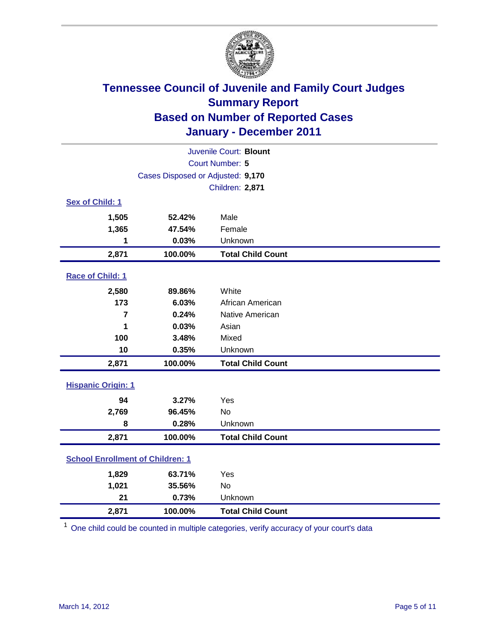

| Juvenile Court: Blount                  |                                   |                          |  |  |
|-----------------------------------------|-----------------------------------|--------------------------|--|--|
| Court Number: 5                         |                                   |                          |  |  |
|                                         | Cases Disposed or Adjusted: 9,170 |                          |  |  |
|                                         |                                   | Children: 2,871          |  |  |
| Sex of Child: 1                         |                                   |                          |  |  |
| 1,505                                   | 52.42%                            | Male                     |  |  |
| 1,365                                   | 47.54%                            | Female                   |  |  |
| 1                                       | 0.03%                             | Unknown                  |  |  |
| 2,871                                   | 100.00%                           | <b>Total Child Count</b> |  |  |
| Race of Child: 1                        |                                   |                          |  |  |
| 2,580                                   | 89.86%                            | White                    |  |  |
| 173                                     | 6.03%                             | African American         |  |  |
| $\overline{7}$                          | 0.24%                             | Native American          |  |  |
| 1                                       | 0.03%                             | Asian                    |  |  |
| 100                                     | 3.48%                             | Mixed                    |  |  |
| 10                                      | 0.35%                             | Unknown                  |  |  |
| 2,871                                   | 100.00%                           | <b>Total Child Count</b> |  |  |
| <b>Hispanic Origin: 1</b>               |                                   |                          |  |  |
| 94                                      | 3.27%                             | Yes                      |  |  |
| 2,769                                   | 96.45%                            | <b>No</b>                |  |  |
| 8                                       | 0.28%                             | Unknown                  |  |  |
| 2,871                                   | 100.00%                           | <b>Total Child Count</b> |  |  |
| <b>School Enrollment of Children: 1</b> |                                   |                          |  |  |
| 1,829                                   | 63.71%                            | Yes                      |  |  |
| 1,021                                   | 35.56%                            | <b>No</b>                |  |  |
| 21                                      | 0.73%                             | Unknown                  |  |  |
| 2,871                                   | 100.00%                           | <b>Total Child Count</b> |  |  |

<sup>1</sup> One child could be counted in multiple categories, verify accuracy of your court's data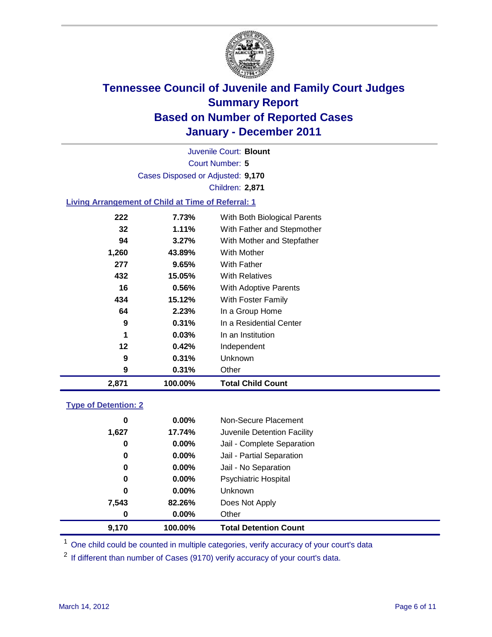

Court Number: **5** Juvenile Court: **Blount** Cases Disposed or Adjusted: **9,170** Children: **2,871**

### **Living Arrangement of Child at Time of Referral: 1**

| 2,871 | 100.00%  | <b>Total Child Count</b>     |
|-------|----------|------------------------------|
| 9     | 0.31%    | Other                        |
| 9     | 0.31%    | <b>Unknown</b>               |
| 12    | 0.42%    | Independent                  |
| 1     | 0.03%    | In an Institution            |
| 9     | 0.31%    | In a Residential Center      |
| 64    | 2.23%    | In a Group Home              |
| 434   | 15.12%   | With Foster Family           |
| 16    | 0.56%    | With Adoptive Parents        |
| 432   | 15.05%   | <b>With Relatives</b>        |
| 277   | 9.65%    | With Father                  |
| 1,260 | 43.89%   | With Mother                  |
| 94    | 3.27%    | With Mother and Stepfather   |
| 32    | $1.11\%$ | With Father and Stepmother   |
| 222   | 7.73%    | With Both Biological Parents |
|       |          |                              |

#### **Type of Detention: 2**

| 9,170 | 100.00%  | <b>Total Detention Count</b> |
|-------|----------|------------------------------|
| 0     | $0.00\%$ | Other                        |
| 7,543 | 82.26%   | Does Not Apply               |
| 0     | $0.00\%$ | <b>Unknown</b>               |
| 0     | $0.00\%$ | <b>Psychiatric Hospital</b>  |
| 0     | 0.00%    | Jail - No Separation         |
| 0     | $0.00\%$ | Jail - Partial Separation    |
| 0     | 0.00%    | Jail - Complete Separation   |
| 1,627 | 17.74%   | Juvenile Detention Facility  |
| 0     | $0.00\%$ | Non-Secure Placement         |
|       |          |                              |

<sup>1</sup> One child could be counted in multiple categories, verify accuracy of your court's data

<sup>2</sup> If different than number of Cases (9170) verify accuracy of your court's data.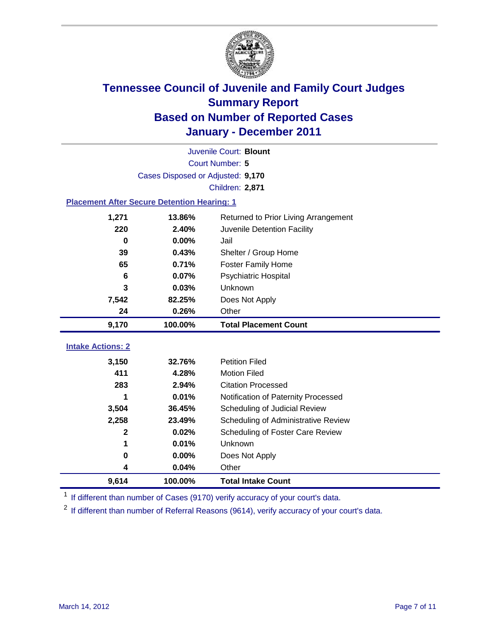

| Juvenile Court: Blount                             |                                   |                                      |  |  |  |
|----------------------------------------------------|-----------------------------------|--------------------------------------|--|--|--|
|                                                    | Court Number: 5                   |                                      |  |  |  |
|                                                    | Cases Disposed or Adjusted: 9,170 |                                      |  |  |  |
|                                                    |                                   | Children: 2,871                      |  |  |  |
| <b>Placement After Secure Detention Hearing: 1</b> |                                   |                                      |  |  |  |
| 1,271                                              | 13.86%                            | Returned to Prior Living Arrangement |  |  |  |
| 220                                                | 2.40%                             | Juvenile Detention Facility          |  |  |  |
| $\bf{0}$                                           | 0.00%                             | Jail                                 |  |  |  |
| 39                                                 | 0.43%                             | Shelter / Group Home                 |  |  |  |
| 65                                                 | 0.71%                             | <b>Foster Family Home</b>            |  |  |  |
| 6                                                  | 0.07%                             | Psychiatric Hospital                 |  |  |  |
| 3                                                  | 0.03%                             | Unknown                              |  |  |  |
| 7,542                                              | 82.25%                            | Does Not Apply                       |  |  |  |
| 24                                                 | 0.26%                             | Other                                |  |  |  |
| 9,170                                              | 100.00%                           | <b>Total Placement Count</b>         |  |  |  |
| <b>Intake Actions: 2</b>                           |                                   |                                      |  |  |  |
|                                                    |                                   |                                      |  |  |  |
| 3,150                                              | 32.76%                            | <b>Petition Filed</b>                |  |  |  |
| 411                                                | 4.28%                             | <b>Motion Filed</b>                  |  |  |  |
| 283                                                | 2.94%                             | <b>Citation Processed</b>            |  |  |  |
| 1                                                  | 0.01%                             | Notification of Paternity Processed  |  |  |  |
| 3,504                                              | 36.45%                            | Scheduling of Judicial Review        |  |  |  |
| 2,258                                              | 23.49%                            | Scheduling of Administrative Review  |  |  |  |
| 2                                                  | 0.02%                             | Scheduling of Foster Care Review     |  |  |  |
| 1                                                  | 0.01%                             | Unknown                              |  |  |  |
| 0                                                  | 0.00%                             | Does Not Apply                       |  |  |  |
| 4                                                  | 0.04%                             | Other                                |  |  |  |
| 9,614                                              | 100.00%                           | <b>Total Intake Count</b>            |  |  |  |

<sup>1</sup> If different than number of Cases (9170) verify accuracy of your court's data.

<sup>2</sup> If different than number of Referral Reasons (9614), verify accuracy of your court's data.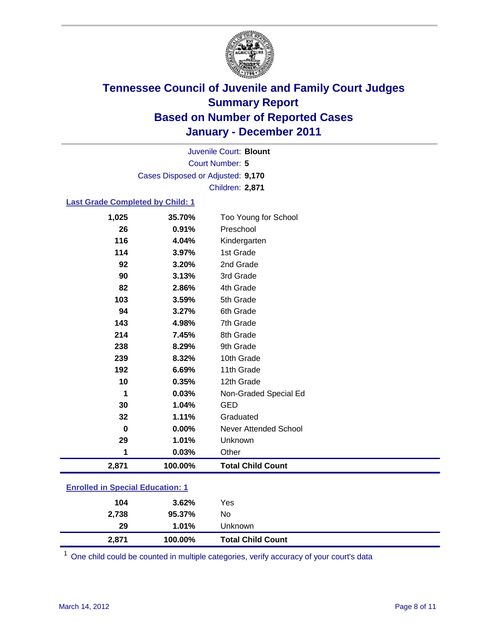

Court Number: **5** Juvenile Court: **Blount** Cases Disposed or Adjusted: **9,170** Children: **2,871**

### **Last Grade Completed by Child: 1**

| 1,025                                   | 35.70%  | Too Young for School         |
|-----------------------------------------|---------|------------------------------|
| 26                                      | 0.91%   | Preschool                    |
| 116                                     | 4.04%   | Kindergarten                 |
| 114                                     | 3.97%   | 1st Grade                    |
| 92                                      | 3.20%   | 2nd Grade                    |
| 90                                      | 3.13%   | 3rd Grade                    |
| 82                                      | 2.86%   | 4th Grade                    |
| 103                                     | 3.59%   | 5th Grade                    |
| 94                                      | 3.27%   | 6th Grade                    |
| 143                                     | 4.98%   | 7th Grade                    |
| 214                                     | 7.45%   | 8th Grade                    |
| 238                                     | 8.29%   | 9th Grade                    |
| 239                                     | 8.32%   | 10th Grade                   |
| 192                                     | 6.69%   | 11th Grade                   |
| 10                                      | 0.35%   | 12th Grade                   |
| 1                                       | 0.03%   | Non-Graded Special Ed        |
| 30                                      | 1.04%   | <b>GED</b>                   |
| 32                                      | 1.11%   | Graduated                    |
| 0                                       | 0.00%   | <b>Never Attended School</b> |
| 29                                      | 1.01%   | Unknown                      |
| 1                                       | 0.03%   | Other                        |
| 2,871                                   | 100.00% | <b>Total Child Count</b>     |
| <b>Enrolled in Special Education: 1</b> |         |                              |
|                                         |         |                              |

| 2,738 | 95.37%   | No                       |  |
|-------|----------|--------------------------|--|
| 29    | $1.01\%$ | Unknown                  |  |
| 2,871 | 100.00%  | <b>Total Child Count</b> |  |

One child could be counted in multiple categories, verify accuracy of your court's data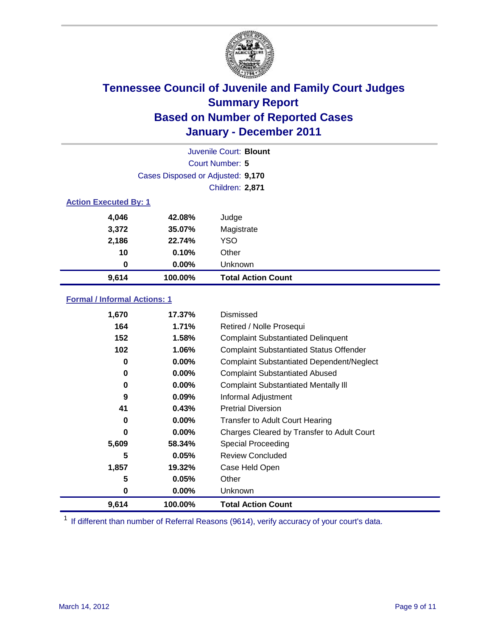

|                              | Juvenile Court: Blount            |                           |  |  |  |
|------------------------------|-----------------------------------|---------------------------|--|--|--|
|                              | Court Number: 5                   |                           |  |  |  |
|                              | Cases Disposed or Adjusted: 9,170 |                           |  |  |  |
|                              | <b>Children: 2,871</b>            |                           |  |  |  |
| <b>Action Executed By: 1</b> |                                   |                           |  |  |  |
| 4,046                        | 42.08%                            | Judge                     |  |  |  |
| 3,372                        | 35.07%                            | Magistrate                |  |  |  |
| 2,186                        | 22.74%                            | <b>YSO</b>                |  |  |  |
| 10                           | 0.10%                             | Other                     |  |  |  |
| 0                            | $0.00\%$                          | Unknown                   |  |  |  |
| 9,614                        | 100.00%                           | <b>Total Action Count</b> |  |  |  |

### **Formal / Informal Actions: 1**

| 1,670 | 17.37%   | Dismissed                                        |
|-------|----------|--------------------------------------------------|
| 164   | 1.71%    | Retired / Nolle Prosequi                         |
| 152   | 1.58%    | <b>Complaint Substantiated Delinquent</b>        |
| 102   | 1.06%    | <b>Complaint Substantiated Status Offender</b>   |
| 0     | 0.00%    | <b>Complaint Substantiated Dependent/Neglect</b> |
| 0     | 0.00%    | <b>Complaint Substantiated Abused</b>            |
| 0     | $0.00\%$ | <b>Complaint Substantiated Mentally III</b>      |
| 9     | $0.09\%$ | Informal Adjustment                              |
| 41    | 0.43%    | <b>Pretrial Diversion</b>                        |
| 0     | $0.00\%$ | <b>Transfer to Adult Court Hearing</b>           |
| 0     | 0.00%    | Charges Cleared by Transfer to Adult Court       |
| 5,609 | 58.34%   | Special Proceeding                               |
| 5     | 0.05%    | <b>Review Concluded</b>                          |
| 1,857 | 19.32%   | Case Held Open                                   |
| 5     | 0.05%    | Other                                            |
| 0     | $0.00\%$ | <b>Unknown</b>                                   |
| 9,614 | 100.00%  | <b>Total Action Count</b>                        |

<sup>1</sup> If different than number of Referral Reasons (9614), verify accuracy of your court's data.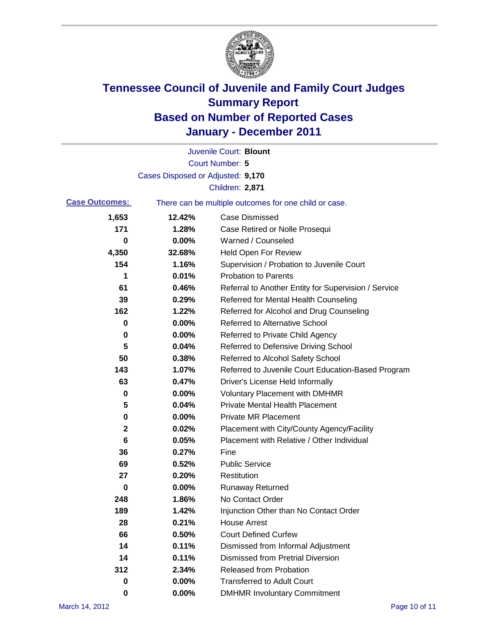

|                       |                                   | Juvenile Court: Blount                                |
|-----------------------|-----------------------------------|-------------------------------------------------------|
|                       |                                   | <b>Court Number: 5</b>                                |
|                       | Cases Disposed or Adjusted: 9,170 |                                                       |
|                       |                                   | Children: 2,871                                       |
| <b>Case Outcomes:</b> |                                   | There can be multiple outcomes for one child or case. |
| 1,653                 | 12.42%                            | <b>Case Dismissed</b>                                 |
| 171                   | 1.28%                             | Case Retired or Nolle Prosequi                        |
| 0                     | 0.00%                             | Warned / Counseled                                    |
| 4,350                 | 32.68%                            | Held Open For Review                                  |
| 154                   | 1.16%                             | Supervision / Probation to Juvenile Court             |
| 1                     | 0.01%                             | <b>Probation to Parents</b>                           |
| 61                    | 0.46%                             | Referral to Another Entity for Supervision / Service  |
| 39                    | 0.29%                             | Referred for Mental Health Counseling                 |
| 162                   | 1.22%                             | Referred for Alcohol and Drug Counseling              |
| 0                     | 0.00%                             | Referred to Alternative School                        |
| 0                     | 0.00%                             | Referred to Private Child Agency                      |
| 5                     | 0.04%                             | Referred to Defensive Driving School                  |
| 50                    | 0.38%                             | Referred to Alcohol Safety School                     |
| 143                   | 1.07%                             | Referred to Juvenile Court Education-Based Program    |
| 63                    | 0.47%                             | Driver's License Held Informally                      |
| 0                     | 0.00%                             | <b>Voluntary Placement with DMHMR</b>                 |
| 5                     | 0.04%                             | <b>Private Mental Health Placement</b>                |
| 0                     | 0.00%                             | <b>Private MR Placement</b>                           |
| $\mathbf{2}$          | 0.02%                             | Placement with City/County Agency/Facility            |
| 6                     | 0.05%                             | Placement with Relative / Other Individual            |
| 36                    | 0.27%                             | Fine                                                  |
| 69                    | 0.52%                             | <b>Public Service</b>                                 |
| 27                    | 0.20%                             | Restitution                                           |
| 0                     | 0.00%                             | <b>Runaway Returned</b>                               |
| 248                   | 1.86%                             | No Contact Order                                      |
| 189                   | 1.42%                             | Injunction Other than No Contact Order                |
| 28                    | 0.21%                             | <b>House Arrest</b>                                   |
| 66                    | 0.50%                             | <b>Court Defined Curfew</b>                           |
| 14                    | 0.11%                             | Dismissed from Informal Adjustment                    |
| 14                    | 0.11%                             | <b>Dismissed from Pretrial Diversion</b>              |
| 312                   | 2.34%                             | Released from Probation                               |
| 0                     | 0.00%                             | <b>Transferred to Adult Court</b>                     |
| 0                     | 0.00%                             | <b>DMHMR Involuntary Commitment</b>                   |